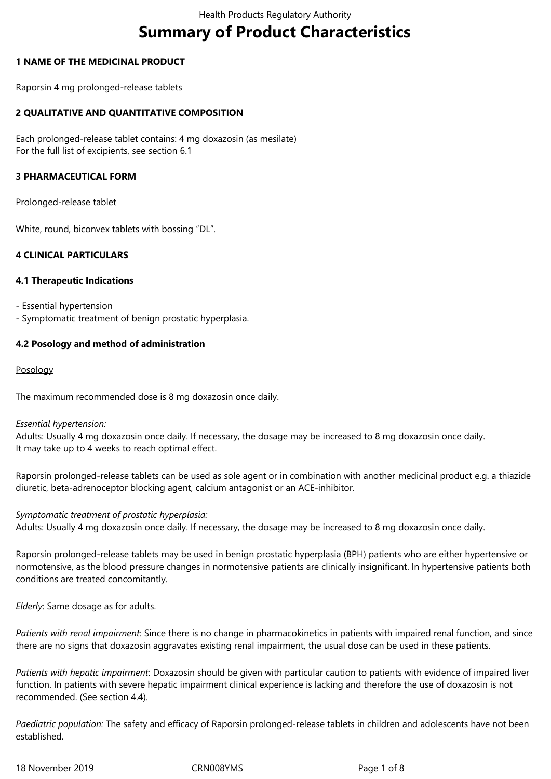# **Summary of Product Characteristics**

## **1 NAME OF THE MEDICINAL PRODUCT**

Raporsin 4 mg prolonged-release tablets

## **2 QUALITATIVE AND QUANTITATIVE COMPOSITION**

Each prolonged-release tablet contains: 4 mg doxazosin (as mesilate) For the full list of excipients, see section 6.1

### **3 PHARMACEUTICAL FORM**

Prolonged-release tablet

White, round, biconvex tablets with bossing "DL".

## **4 CLINICAL PARTICULARS**

## **4.1 Therapeutic Indications**

- Essential hypertension
- Symptomatic treatment of benign prostatic hyperplasia.

## **4.2 Posology and method of administration**

#### Posology

The maximum recommended dose is 8 mg doxazosin once daily.

#### *Essential hypertension:*

Adults: Usually 4 mg doxazosin once daily. If necessary, the dosage may be increased to 8 mg doxazosin once daily. It may take up to 4 weeks to reach optimal effect.

Raporsin prolonged-release tablets can be used as sole agent or in combination with another medicinal product e.g. a thiazide diuretic, beta-adrenoceptor blocking agent, calcium antagonist or an ACE-inhibitor.

#### *Symptomatic treatment of prostatic hyperplasia:*

Adults: Usually 4 mg doxazosin once daily. If necessary, the dosage may be increased to 8 mg doxazosin once daily.

Raporsin prolonged-release tablets may be used in benign prostatic hyperplasia (BPH) patients who are either hypertensive or normotensive, as the blood pressure changes in normotensive patients are clinically insignificant. In hypertensive patients both conditions are treated concomitantly.

*Elderly*: Same dosage as for adults.

*Patients with renal impairment*: Since there is no change in pharmacokinetics in patients with impaired renal function, and since there are no signs that doxazosin aggravates existing renal impairment, the usual dose can be used in these patients.

*Patients with hepatic impairment*: Doxazosin should be given with particular caution to patients with evidence of impaired liver function. In patients with severe hepatic impairment clinical experience is lacking and therefore the use of doxazosin is not recommended. (See section 4.4).

*Paediatric population:* The safety and efficacy of Raporsin prolonged-release tablets in children and adolescents have not been established.

18 November 2019 CRN008YMS Page 1 of 8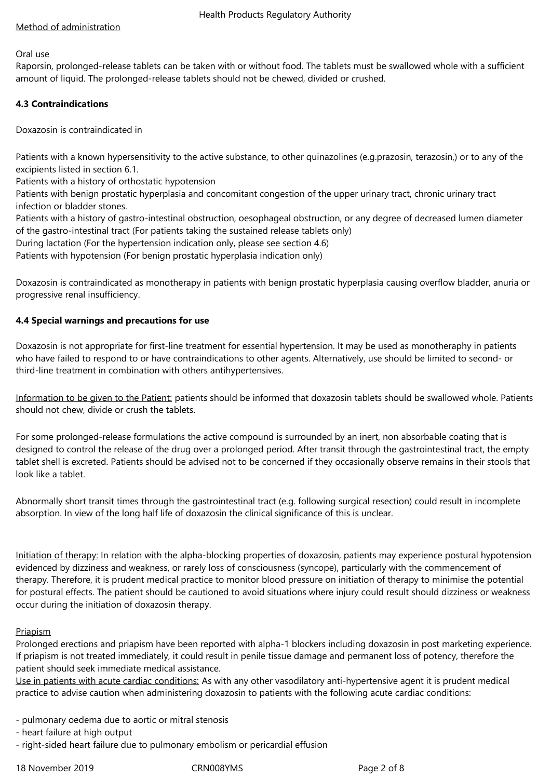## Method of administration

#### Oral use

Raporsin, prolonged-release tablets can be taken with or without food. The tablets must be swallowed whole with a sufficient amount of liquid. The prolonged-release tablets should not be chewed, divided or crushed.

## **4.3 Contraindications**

Doxazosin is contraindicated in

Patients with a known hypersensitivity to the active substance, to other quinazolines (e.g.prazosin, terazosin,) or to any of the excipients listed in section 6.1.

Patients with a history of orthostatic hypotension

Patients with benign prostatic hyperplasia and concomitant congestion of the upper urinary tract, chronic urinary tract infection or bladder stones.

Patients with a history of gastro-intestinal obstruction, oesophageal obstruction, or any degree of decreased lumen diameter of the gastro-intestinal tract (For patients taking the sustained release tablets only)

During lactation (For the hypertension indication only, please see section 4.6)

Patients with hypotension (For benign prostatic hyperplasia indication only)

Doxazosin is contraindicated as monotherapy in patients with benign prostatic hyperplasia causing overflow bladder, anuria or progressive renal insufficiency.

## **4.4 Special warnings and precautions for use**

Doxazosin is not appropriate for first-line treatment for essential hypertension. It may be used as monotheraphy in patients who have failed to respond to or have contraindications to other agents. Alternatively, use should be limited to second- or third-line treatment in combination with others antihypertensives.

Information to be given to the Patient: patients should be informed that doxazosin tablets should be swallowed whole. Patients should not chew, divide or crush the tablets.

For some prolonged-release formulations the active compound is surrounded by an inert, non absorbable coating that is designed to control the release of the drug over a prolonged period. After transit through the gastrointestinal tract, the empty tablet shell is excreted. Patients should be advised not to be concerned if they occasionally observe remains in their stools that look like a tablet.

Abnormally short transit times through the gastrointestinal tract (e.g. following surgical resection) could result in incomplete absorption. In view of the long half life of doxazosin the clinical significance of this is unclear.

Initiation of therapy: In relation with the alpha-blocking properties of doxazosin, patients may experience postural hypotension evidenced by dizziness and weakness, or rarely loss of consciousness (syncope), particularly with the commencement of therapy. Therefore, it is prudent medical practice to monitor blood pressure on initiation of therapy to minimise the potential for postural effects. The patient should be cautioned to avoid situations where injury could result should dizziness or weakness occur during the initiation of doxazosin therapy.

## **Priapism**

Prolonged erections and priapism have been reported with alpha-1 blockers including doxazosin in post marketing experience. If priapism is not treated immediately, it could result in penile tissue damage and permanent loss of potency, therefore the patient should seek immediate medical assistance.

Use in patients with acute cardiac conditions: As with any other vasodilatory anti-hypertensive agent it is prudent medical practice to advise caution when administering doxazosin to patients with the following acute cardiac conditions:

- pulmonary oedema due to aortic or mitral stenosis
- heart failure at high output
- right-sided heart failure due to pulmonary embolism or pericardial effusion

18 November 2019 CRN008YMS Page 2 of 8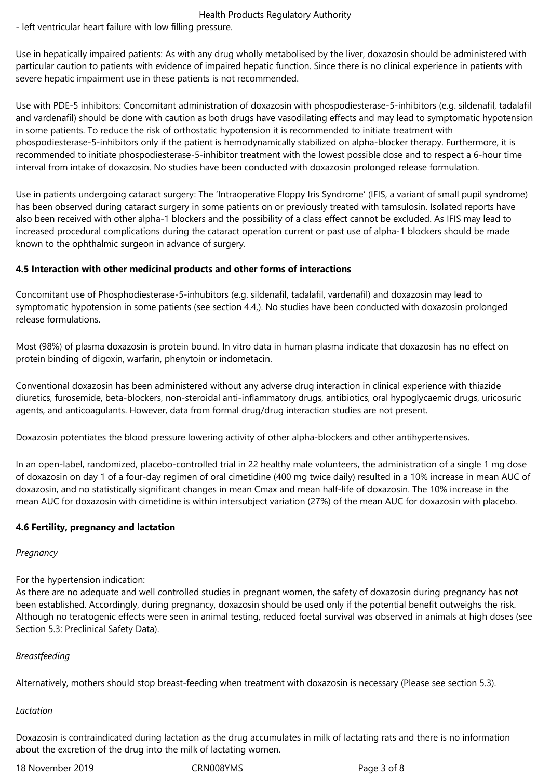- left ventricular heart failure with low filling pressure.

Use in hepatically impaired patients: As with any drug wholly metabolised by the liver, doxazosin should be administered with particular caution to patients with evidence of impaired hepatic function. Since there is no clinical experience in patients with severe hepatic impairment use in these patients is not recommended.

Use with PDE-5 inhibitors: Concomitant administration of doxazosin with phospodiesterase-5-inhibitors (e.g. sildenafil, tadalafil and vardenafil) should be done with caution as both drugs have vasodilating effects and may lead to symptomatic hypotension in some patients. To reduce the risk of orthostatic hypotension it is recommended to initiate treatment with phospodiesterase-5-inhibitors only if the patient is hemodynamically stabilized on alpha-blocker therapy. Furthermore, it is recommended to initiate phospodiesterase-5-inhibitor treatment with the lowest possible dose and to respect a 6-hour time interval from intake of doxazosin. No studies have been conducted with doxazosin prolonged release formulation.

Use in patients undergoing cataract surgery: The 'Intraoperative Floppy Iris Syndrome' (IFIS, a variant of small pupil syndrome) has been observed during cataract surgery in some patients on or previously treated with tamsulosin. Isolated reports have also been received with other alpha-1 blockers and the possibility of a class effect cannot be excluded. As IFIS may lead to increased procedural complications during the cataract operation current or past use of alpha-1 blockers should be made known to the ophthalmic surgeon in advance of surgery.

## **4.5 Interaction with other medicinal products and other forms of interactions**

Concomitant use of Phosphodiesterase-5-inhubitors (e.g. sildenafil, tadalafil, vardenafil) and doxazosin may lead to symptomatic hypotension in some patients (see section 4.4,). No studies have been conducted with doxazosin prolonged release formulations.

Most (98%) of plasma doxazosin is protein bound. In vitro data in human plasma indicate that doxazosin has no effect on protein binding of digoxin, warfarin, phenytoin or indometacin.

Conventional doxazosin has been administered without any adverse drug interaction in clinical experience with thiazide diuretics, furosemide, beta-blockers, non-steroidal anti-inflammatory drugs, antibiotics, oral hypoglycaemic drugs, uricosuric agents, and anticoagulants. However, data from formal drug/drug interaction studies are not present.

Doxazosin potentiates the blood pressure lowering activity of other alpha-blockers and other antihypertensives.

In an open-label, randomized, placebo-controlled trial in 22 healthy male volunteers, the administration of a single 1 mg dose of doxazosin on day 1 of a four-day regimen of oral cimetidine (400 mg twice daily) resulted in a 10% increase in mean AUC of doxazosin, and no statistically significant changes in mean Cmax and mean half-life of doxazosin. The 10% increase in the mean AUC for doxazosin with cimetidine is within intersubject variation (27%) of the mean AUC for doxazosin with placebo.

## **4.6 Fertility, pregnancy and lactation**

#### *Pregnancy*

# For the hypertension indication:

As there are no adequate and well controlled studies in pregnant women, the safety of doxazosin during pregnancy has not been established. Accordingly, during pregnancy, doxazosin should be used only if the potential benefit outweighs the risk. Although no teratogenic effects were seen in animal testing, reduced foetal survival was observed in animals at high doses (see Section 5.3: Preclinical Safety Data).

#### *Breastfeeding*

Alternatively, mothers should stop breast-feeding when treatment with doxazosin is necessary (Please see section 5.3).

#### *Lactation*

Doxazosin is contraindicated during lactation as the drug accumulates in milk of lactating rats and there is no information about the excretion of the drug into the milk of lactating women.

18 November 2019 CRN008YMS Page 3 of 8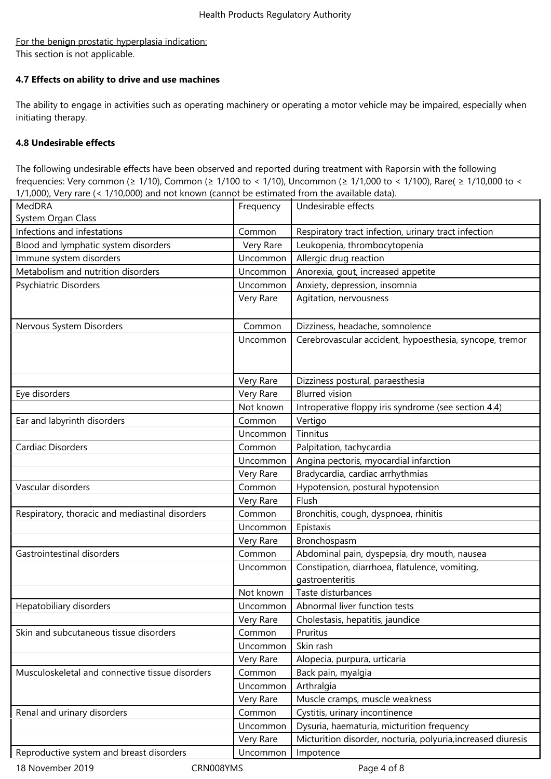## For the benign prostatic hyperplasia indication: This section is not applicable.

## **4.7 Effects on ability to drive and use machines**

The ability to engage in activities such as operating machinery or operating a motor vehicle may be impaired, especially when initiating therapy.

## **4.8 Undesirable effects**

The following undesirable effects have been observed and reported during treatment with Raporsin with the following frequencies: Very common (≥ 1/10), Common (≥ 1/100 to < 1/10), Uncommon (≥ 1/1,000 to < 1/100), Rare( ≥ 1/10,000 to < 1/1,000), Very rare (< 1/10,000) and not known (cannot be estimated from the available data).

| System Organ Class<br>Infections and infestations<br>Common<br>Respiratory tract infection, urinary tract infection<br>Blood and lymphatic system disorders<br>Leukopenia, thrombocytopenia<br>Very Rare<br>Immune system disorders<br>Uncommon<br>Allergic drug reaction<br>Metabolism and nutrition disorders<br>Anorexia, gout, increased appetite<br>Uncommon<br>Anxiety, depression, insomnia<br>Psychiatric Disorders<br>Uncommon<br>Very Rare<br>Agitation, nervousness<br>Nervous System Disorders<br>Common<br>Dizziness, headache, somnolence<br>Cerebrovascular accident, hypoesthesia, syncope, tremor<br>Uncommon<br>Very Rare<br>Dizziness postural, paraesthesia<br><b>Blurred vision</b><br>Eye disorders<br>Very Rare<br>Introperative floppy iris syndrome (see section 4.4)<br>Not known<br>Ear and labyrinth disorders<br>Common<br>Vertigo<br>Tinnitus<br>Uncommon<br><b>Cardiac Disorders</b><br>Palpitation, tachycardia<br>Common<br>Angina pectoris, myocardial infarction<br>Uncommon<br>Bradycardia, cardiac arrhythmias<br>Very Rare<br>Vascular disorders<br>Hypotension, postural hypotension<br>Common<br>Flush<br>Very Rare<br>Respiratory, thoracic and mediastinal disorders<br>Common<br>Bronchitis, cough, dyspnoea, rhinitis<br>Epistaxis<br>Uncommon<br>Very Rare<br>Bronchospasm<br>Gastrointestinal disorders<br>Abdominal pain, dyspepsia, dry mouth, nausea<br>Common<br>Constipation, diarrhoea, flatulence, vomiting,<br>Uncommon<br>gastroenteritis<br>Taste disturbances<br>Not known<br>Abnormal liver function tests<br>Hepatobiliary disorders<br>Uncommon |
|-------------------------------------------------------------------------------------------------------------------------------------------------------------------------------------------------------------------------------------------------------------------------------------------------------------------------------------------------------------------------------------------------------------------------------------------------------------------------------------------------------------------------------------------------------------------------------------------------------------------------------------------------------------------------------------------------------------------------------------------------------------------------------------------------------------------------------------------------------------------------------------------------------------------------------------------------------------------------------------------------------------------------------------------------------------------------------------------------------------------------------------------------------------------------------------------------------------------------------------------------------------------------------------------------------------------------------------------------------------------------------------------------------------------------------------------------------------------------------------------------------------------------------------------------------------------------------------------------------------|
|                                                                                                                                                                                                                                                                                                                                                                                                                                                                                                                                                                                                                                                                                                                                                                                                                                                                                                                                                                                                                                                                                                                                                                                                                                                                                                                                                                                                                                                                                                                                                                                                             |
|                                                                                                                                                                                                                                                                                                                                                                                                                                                                                                                                                                                                                                                                                                                                                                                                                                                                                                                                                                                                                                                                                                                                                                                                                                                                                                                                                                                                                                                                                                                                                                                                             |
|                                                                                                                                                                                                                                                                                                                                                                                                                                                                                                                                                                                                                                                                                                                                                                                                                                                                                                                                                                                                                                                                                                                                                                                                                                                                                                                                                                                                                                                                                                                                                                                                             |
|                                                                                                                                                                                                                                                                                                                                                                                                                                                                                                                                                                                                                                                                                                                                                                                                                                                                                                                                                                                                                                                                                                                                                                                                                                                                                                                                                                                                                                                                                                                                                                                                             |
|                                                                                                                                                                                                                                                                                                                                                                                                                                                                                                                                                                                                                                                                                                                                                                                                                                                                                                                                                                                                                                                                                                                                                                                                                                                                                                                                                                                                                                                                                                                                                                                                             |
|                                                                                                                                                                                                                                                                                                                                                                                                                                                                                                                                                                                                                                                                                                                                                                                                                                                                                                                                                                                                                                                                                                                                                                                                                                                                                                                                                                                                                                                                                                                                                                                                             |
|                                                                                                                                                                                                                                                                                                                                                                                                                                                                                                                                                                                                                                                                                                                                                                                                                                                                                                                                                                                                                                                                                                                                                                                                                                                                                                                                                                                                                                                                                                                                                                                                             |
|                                                                                                                                                                                                                                                                                                                                                                                                                                                                                                                                                                                                                                                                                                                                                                                                                                                                                                                                                                                                                                                                                                                                                                                                                                                                                                                                                                                                                                                                                                                                                                                                             |
|                                                                                                                                                                                                                                                                                                                                                                                                                                                                                                                                                                                                                                                                                                                                                                                                                                                                                                                                                                                                                                                                                                                                                                                                                                                                                                                                                                                                                                                                                                                                                                                                             |
|                                                                                                                                                                                                                                                                                                                                                                                                                                                                                                                                                                                                                                                                                                                                                                                                                                                                                                                                                                                                                                                                                                                                                                                                                                                                                                                                                                                                                                                                                                                                                                                                             |
|                                                                                                                                                                                                                                                                                                                                                                                                                                                                                                                                                                                                                                                                                                                                                                                                                                                                                                                                                                                                                                                                                                                                                                                                                                                                                                                                                                                                                                                                                                                                                                                                             |
|                                                                                                                                                                                                                                                                                                                                                                                                                                                                                                                                                                                                                                                                                                                                                                                                                                                                                                                                                                                                                                                                                                                                                                                                                                                                                                                                                                                                                                                                                                                                                                                                             |
|                                                                                                                                                                                                                                                                                                                                                                                                                                                                                                                                                                                                                                                                                                                                                                                                                                                                                                                                                                                                                                                                                                                                                                                                                                                                                                                                                                                                                                                                                                                                                                                                             |
|                                                                                                                                                                                                                                                                                                                                                                                                                                                                                                                                                                                                                                                                                                                                                                                                                                                                                                                                                                                                                                                                                                                                                                                                                                                                                                                                                                                                                                                                                                                                                                                                             |
|                                                                                                                                                                                                                                                                                                                                                                                                                                                                                                                                                                                                                                                                                                                                                                                                                                                                                                                                                                                                                                                                                                                                                                                                                                                                                                                                                                                                                                                                                                                                                                                                             |
|                                                                                                                                                                                                                                                                                                                                                                                                                                                                                                                                                                                                                                                                                                                                                                                                                                                                                                                                                                                                                                                                                                                                                                                                                                                                                                                                                                                                                                                                                                                                                                                                             |
|                                                                                                                                                                                                                                                                                                                                                                                                                                                                                                                                                                                                                                                                                                                                                                                                                                                                                                                                                                                                                                                                                                                                                                                                                                                                                                                                                                                                                                                                                                                                                                                                             |
|                                                                                                                                                                                                                                                                                                                                                                                                                                                                                                                                                                                                                                                                                                                                                                                                                                                                                                                                                                                                                                                                                                                                                                                                                                                                                                                                                                                                                                                                                                                                                                                                             |
|                                                                                                                                                                                                                                                                                                                                                                                                                                                                                                                                                                                                                                                                                                                                                                                                                                                                                                                                                                                                                                                                                                                                                                                                                                                                                                                                                                                                                                                                                                                                                                                                             |
|                                                                                                                                                                                                                                                                                                                                                                                                                                                                                                                                                                                                                                                                                                                                                                                                                                                                                                                                                                                                                                                                                                                                                                                                                                                                                                                                                                                                                                                                                                                                                                                                             |
|                                                                                                                                                                                                                                                                                                                                                                                                                                                                                                                                                                                                                                                                                                                                                                                                                                                                                                                                                                                                                                                                                                                                                                                                                                                                                                                                                                                                                                                                                                                                                                                                             |
|                                                                                                                                                                                                                                                                                                                                                                                                                                                                                                                                                                                                                                                                                                                                                                                                                                                                                                                                                                                                                                                                                                                                                                                                                                                                                                                                                                                                                                                                                                                                                                                                             |
|                                                                                                                                                                                                                                                                                                                                                                                                                                                                                                                                                                                                                                                                                                                                                                                                                                                                                                                                                                                                                                                                                                                                                                                                                                                                                                                                                                                                                                                                                                                                                                                                             |
|                                                                                                                                                                                                                                                                                                                                                                                                                                                                                                                                                                                                                                                                                                                                                                                                                                                                                                                                                                                                                                                                                                                                                                                                                                                                                                                                                                                                                                                                                                                                                                                                             |
|                                                                                                                                                                                                                                                                                                                                                                                                                                                                                                                                                                                                                                                                                                                                                                                                                                                                                                                                                                                                                                                                                                                                                                                                                                                                                                                                                                                                                                                                                                                                                                                                             |
|                                                                                                                                                                                                                                                                                                                                                                                                                                                                                                                                                                                                                                                                                                                                                                                                                                                                                                                                                                                                                                                                                                                                                                                                                                                                                                                                                                                                                                                                                                                                                                                                             |
| Cholestasis, hepatitis, jaundice<br>Very Rare                                                                                                                                                                                                                                                                                                                                                                                                                                                                                                                                                                                                                                                                                                                                                                                                                                                                                                                                                                                                                                                                                                                                                                                                                                                                                                                                                                                                                                                                                                                                                               |
| Skin and subcutaneous tissue disorders<br>Common<br>Pruritus                                                                                                                                                                                                                                                                                                                                                                                                                                                                                                                                                                                                                                                                                                                                                                                                                                                                                                                                                                                                                                                                                                                                                                                                                                                                                                                                                                                                                                                                                                                                                |
| Skin rash<br>Uncommon                                                                                                                                                                                                                                                                                                                                                                                                                                                                                                                                                                                                                                                                                                                                                                                                                                                                                                                                                                                                                                                                                                                                                                                                                                                                                                                                                                                                                                                                                                                                                                                       |
| Very Rare<br>Alopecia, purpura, urticaria                                                                                                                                                                                                                                                                                                                                                                                                                                                                                                                                                                                                                                                                                                                                                                                                                                                                                                                                                                                                                                                                                                                                                                                                                                                                                                                                                                                                                                                                                                                                                                   |
| Musculoskeletal and connective tissue disorders<br>Back pain, myalgia<br>Common                                                                                                                                                                                                                                                                                                                                                                                                                                                                                                                                                                                                                                                                                                                                                                                                                                                                                                                                                                                                                                                                                                                                                                                                                                                                                                                                                                                                                                                                                                                             |
| Uncommon<br>Arthralgia                                                                                                                                                                                                                                                                                                                                                                                                                                                                                                                                                                                                                                                                                                                                                                                                                                                                                                                                                                                                                                                                                                                                                                                                                                                                                                                                                                                                                                                                                                                                                                                      |
| Very Rare<br>Muscle cramps, muscle weakness                                                                                                                                                                                                                                                                                                                                                                                                                                                                                                                                                                                                                                                                                                                                                                                                                                                                                                                                                                                                                                                                                                                                                                                                                                                                                                                                                                                                                                                                                                                                                                 |
| Cystitis, urinary incontinence<br>Renal and urinary disorders<br>Common                                                                                                                                                                                                                                                                                                                                                                                                                                                                                                                                                                                                                                                                                                                                                                                                                                                                                                                                                                                                                                                                                                                                                                                                                                                                                                                                                                                                                                                                                                                                     |
| Uncommon<br>Dysuria, haematuria, micturition frequency                                                                                                                                                                                                                                                                                                                                                                                                                                                                                                                                                                                                                                                                                                                                                                                                                                                                                                                                                                                                                                                                                                                                                                                                                                                                                                                                                                                                                                                                                                                                                      |
| Micturition disorder, nocturia, polyuria, increased diuresis<br>Very Rare                                                                                                                                                                                                                                                                                                                                                                                                                                                                                                                                                                                                                                                                                                                                                                                                                                                                                                                                                                                                                                                                                                                                                                                                                                                                                                                                                                                                                                                                                                                                   |
| Reproductive system and breast disorders<br>Uncommon<br>Impotence                                                                                                                                                                                                                                                                                                                                                                                                                                                                                                                                                                                                                                                                                                                                                                                                                                                                                                                                                                                                                                                                                                                                                                                                                                                                                                                                                                                                                                                                                                                                           |
| 18 November 2019<br>CRN008YMS<br>Page 4 of 8                                                                                                                                                                                                                                                                                                                                                                                                                                                                                                                                                                                                                                                                                                                                                                                                                                                                                                                                                                                                                                                                                                                                                                                                                                                                                                                                                                                                                                                                                                                                                                |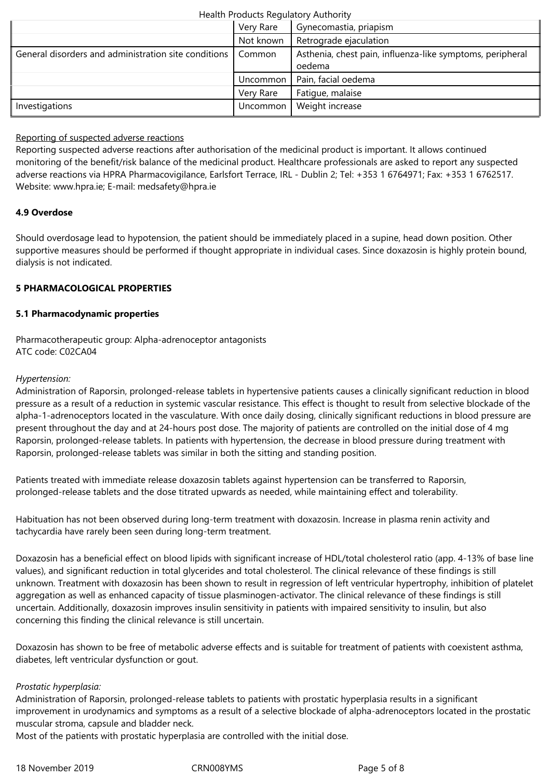|                                                      | Very Rare | Gynecomastia, priapism                                              |
|------------------------------------------------------|-----------|---------------------------------------------------------------------|
|                                                      | Not known | Retrograde ejaculation                                              |
| General disorders and administration site conditions | Common    | Asthenia, chest pain, influenza-like symptoms, peripheral<br>oedema |
|                                                      | Uncommon  | Pain, facial oedema                                                 |
|                                                      | Very Rare | Fatique, malaise                                                    |
| Investigations                                       | Uncommon  | Weight increase                                                     |

### Reporting of suspected adverse reactions

Reporting suspected adverse reactions after authorisation of the medicinal product is important. It allows continued monitoring of the benefit/risk balance of the medicinal product. Healthcare professionals are asked to report any suspected adverse reactions via HPRA Pharmacovigilance, Earlsfort Terrace, IRL - Dublin 2; Tel: +353 1 6764971; Fax: +353 1 6762517. Website: www.hpra.ie; E-mail: medsafety@hpra.ie

## **4.9 Overdose**

Should overdosage lead to hypotension, the patient should be immediately placed in a supine, head down position. Other supportive measures should be performed if thought appropriate in individual cases. Since doxazosin is highly protein bound, dialysis is not indicated.

## **5 PHARMACOLOGICAL PROPERTIES**

## **5.1 Pharmacodynamic properties**

Pharmacotherapeutic group: Alpha-adrenoceptor antagonists ATC code: C02CA04

## *Hypertension:*

Administration of Raporsin, prolonged-release tablets in hypertensive patients causes a clinically significant reduction in blood pressure as a result of a reduction in systemic vascular resistance. This effect is thought to result from selective blockade of the alpha-1-adrenoceptors located in the vasculature. With once daily dosing, clinically significant reductions in blood pressure are present throughout the day and at 24-hours post dose. The majority of patients are controlled on the initial dose of 4 mg Raporsin, prolonged-release tablets. In patients with hypertension, the decrease in blood pressure during treatment with Raporsin, prolonged-release tablets was similar in both the sitting and standing position.

Patients treated with immediate release doxazosin tablets against hypertension can be transferred to Raporsin, prolonged-release tablets and the dose titrated upwards as needed, while maintaining effect and tolerability.

Habituation has not been observed during long-term treatment with doxazosin. Increase in plasma renin activity and tachycardia have rarely been seen during long-term treatment.

Doxazosin has a beneficial effect on blood lipids with significant increase of HDL/total cholesterol ratio (app. 4-13% of base line values), and significant reduction in total glycerides and total cholesterol. The clinical relevance of these findings is still unknown. Treatment with doxazosin has been shown to result in regression of left ventricular hypertrophy, inhibition of platelet aggregation as well as enhanced capacity of tissue plasminogen-activator. The clinical relevance of these findings is still uncertain. Additionally, doxazosin improves insulin sensitivity in patients with impaired sensitivity to insulin, but also concerning this finding the clinical relevance is still uncertain.

Doxazosin has shown to be free of metabolic adverse effects and is suitable for treatment of patients with coexistent asthma, diabetes, left ventricular dysfunction or gout.

#### *Prostatic hyperplasia:*

Administration of Raporsin, prolonged-release tablets to patients with prostatic hyperplasia results in a significant improvement in urodynamics and symptoms as a result of a selective blockade of alpha-adrenoceptors located in the prostatic muscular stroma, capsule and bladder neck.

Most of the patients with prostatic hyperplasia are controlled with the initial dose.

18 November 2019 CRN008YMS Page 5 of 8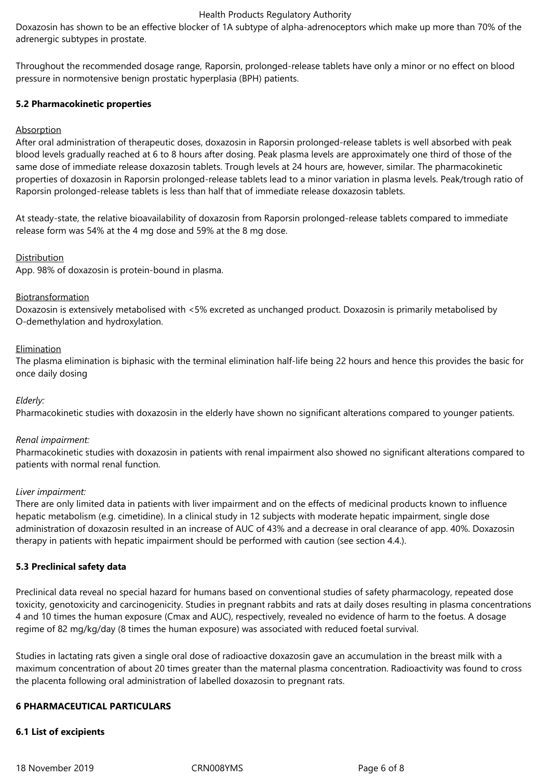Doxazosin has shown to be an effective blocker of 1A subtype of alpha-adrenoceptors which make up more than 70% of the adrenergic subtypes in prostate.

Throughout the recommended dosage range, Raporsin, prolonged-release tablets have only a minor or no effect on blood pressure in normotensive benign prostatic hyperplasia (BPH) patients.

### **5.2 Pharmacokinetic properties**

## Absorption

After oral administration of therapeutic doses, doxazosin in Raporsin prolonged-release tablets is well absorbed with peak blood levels gradually reached at 6 to 8 hours after dosing. Peak plasma levels are approximately one third of those of the same dose of immediate release doxazosin tablets. Trough levels at 24 hours are, however, similar. The pharmacokinetic properties of doxazosin in Raporsin prolonged-release tablets lead to a minor variation in plasma levels. Peak/trough ratio of Raporsin prolonged-release tablets is less than half that of immediate release doxazosin tablets.

At steady-state, the relative bioavailability of doxazosin from Raporsin prolonged-release tablets compared to immediate release form was 54% at the 4 mg dose and 59% at the 8 mg dose.

#### Distribution

App. 98% of doxazosin is protein-bound in plasma.

#### **Biotransformation**

Doxazosin is extensively metabolised with <5% excreted as unchanged product. Doxazosin is primarily metabolised by O-demethylation and hydroxylation.

#### **Elimination**

The plasma elimination is biphasic with the terminal elimination half-life being 22 hours and hence this provides the basic for once daily dosing

#### *Elderly:*

Pharmacokinetic studies with doxazosin in the elderly have shown no significant alterations compared to younger patients.

#### *Renal impairment:*

Pharmacokinetic studies with doxazosin in patients with renal impairment also showed no significant alterations compared to patients with normal renal function.

#### *Liver impairment:*

There are only limited data in patients with liver impairment and on the effects of medicinal products known to influence hepatic metabolism (e.g. cimetidine). In a clinical study in 12 subjects with moderate hepatic impairment, single dose administration of doxazosin resulted in an increase of AUC of 43% and a decrease in oral clearance of app. 40%. Doxazosin therapy in patients with hepatic impairment should be performed with caution (see section 4.4.).

#### **5.3 Preclinical safety data**

Preclinical data reveal no special hazard for humans based on conventional studies of safety pharmacology, repeated dose toxicity, genotoxicity and carcinogenicity. Studies in pregnant rabbits and rats at daily doses resulting in plasma concentrations 4 and 10 times the human exposure (Cmax and AUC), respectively, revealed no evidence of harm to the foetus. A dosage regime of 82 mg/kg/day (8 times the human exposure) was associated with reduced foetal survival.

Studies in lactating rats given a single oral dose of radioactive doxazosin gave an accumulation in the breast milk with a maximum concentration of about 20 times greater than the maternal plasma concentration. Radioactivity was found to cross the placenta following oral administration of labelled doxazosin to pregnant rats.

#### **6 PHARMACEUTICAL PARTICULARS**

#### **6.1 List of excipients**

18 November 2019 CRN008YMS Page 6 of 8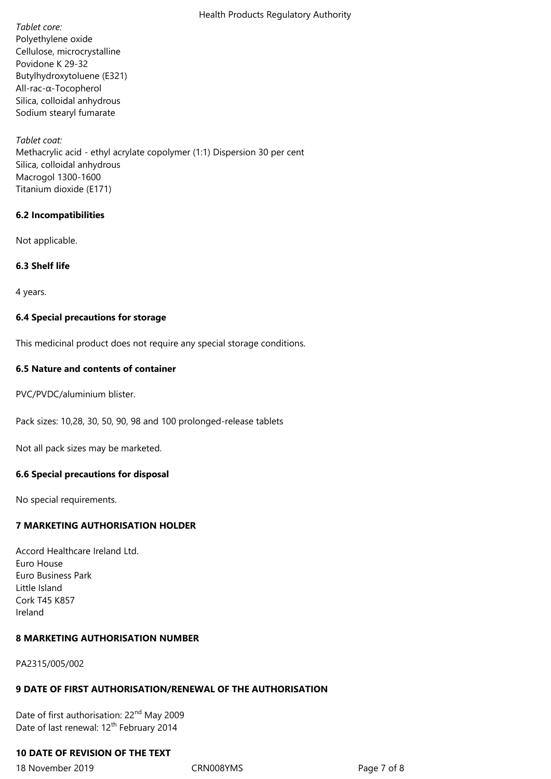*Tablet core:* Polyethylene oxide Cellulose, microcrystalline Povidone K 29-32 Butylhydroxytoluene (E321) All-rac-α-Tocopherol Silica, colloidal anhydrous Sodium stearyl fumarate

*Tablet coat:* Methacrylic acid - ethyl acrylate copolymer (1:1) Dispersion 30 per cent Silica, colloidal anhydrous Macrogol 1300-1600 Titanium dioxide (E171)

#### **6.2 Incompatibilities**

Not applicable.

## **6.3 Shelf life**

4 years.

## **6.4 Special precautions for storage**

This medicinal product does not require any special storage conditions.

## **6.5 Nature and contents of container**

PVC/PVDC/aluminium blister.

Pack sizes: 10,28, 30, 50, 90, 98 and 100 prolonged-release tablets

Not all pack sizes may be marketed.

#### **6.6 Special precautions for disposal**

No special requirements.

## **7 MARKETING AUTHORISATION HOLDER**

Accord Healthcare Ireland Ltd. Euro House Euro Business Park Little Island Cork T45 K857 Ireland

## **8 MARKETING AUTHORISATION NUMBER**

PA2315/005/002

# **9 DATE OF FIRST AUTHORISATION/RENEWAL OF THE AUTHORISATION**

Date of first authorisation: 22<sup>nd</sup> May 2009 Date of last renewal: 12<sup>th</sup> February 2014

# **10 DATE OF REVISION OF THE TEXT**

18 November 2019 CRN008YMS Page 7 of 8